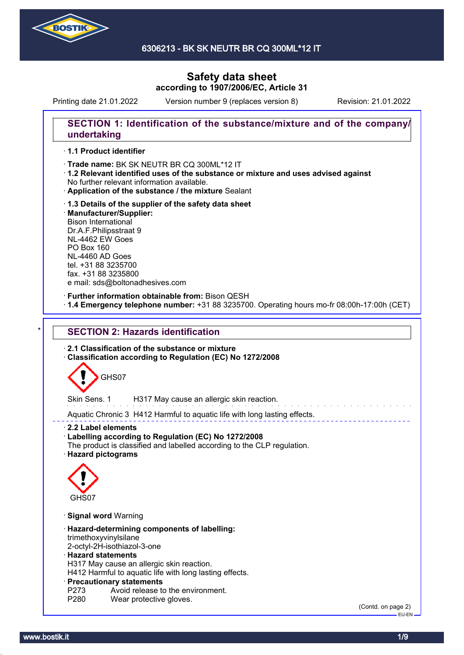

Printing date 21.01.2022 Version number 9 (replaces version 8) Revision: 21.01.2022

### **SECTION 1: Identification of the substance/mixture and of the company/ undertaking**

#### · **1.1 Product identifier**

· Trade name: BK SK NEUTR BR CQ 300ML\*12 IT

- · **1.2 Relevant identified uses of the substance or mixture and uses advised against** No further relevant information available.
- · **Application of the substance / the mixture** Sealant
- · **1.3 Details of the supplier of the safety data sheet** · **Manufacturer/Supplier:** Bison International Dr.A.F.Philipsstraat 9 NL-4462 EW Goes PO Box 160 NL-4460 AD Goes tel. +31 88 3235700 fax. +31 88 3235800 e mail: sds@boltonadhesives.com

#### · **Further information obtainable from:** Bison QESH

· **1.4 Emergency telephone number:** +31 88 3235700. Operating hours mo-fr 08:00h-17:00h (CET)

### **SECTION 2: Hazards identification**

· **2.1 Classification of the substance or mixture**

· **Classification according to Regulation (EC) No 1272/2008**



Skin Sens. 1 H317 May cause an allergic skin reaction.

Aquatic Chronic 3 H412 Harmful to aquatic life with long lasting effects.

· **2.2 Label elements**

- · **Labelling according to Regulation (EC) No 1272/2008**
- The product is classified and labelled according to the CLP regulation.
- · **Hazard pictograms**



- · **Signal word** Warning
- · **Hazard-determining components of labelling:** trimethoxyvinylsilane
- 2-octyl-2H-isothiazol-3-one

#### · **Hazard statements**

H317 May cause an allergic skin reaction.

H412 Harmful to aquatic life with long lasting effects.

#### · **Precautionary statements**

- P273 Avoid release to the environment.<br>P280 Wear protective gloves.
- Wear protective gloves.

(Contd. on page 2) EU-EN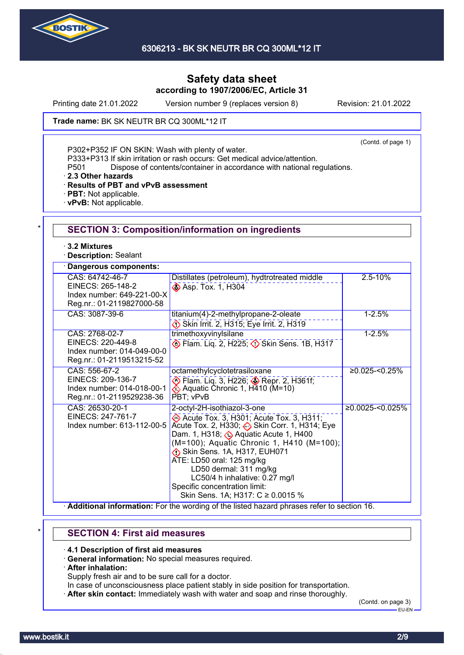

Printing date 21.01.2022 Version number 9 (replaces version 8) Revision: 21.01.2022

Trade name: BK SK NEUTR BR CQ 300ML\*12 IT

(Contd. of page 1)

P302+P352 IF ON SKIN: Wash with plenty of water.

P333+P313 If skin irritation or rash occurs: Get medical advice/attention.

P501 Dispose of contents/container in accordance with national regulations.

· **2.3 Other hazards**

· **Results of PBT and vPvB assessment**

- · **PBT:** Not applicable.
- · **vPvB:** Not applicable.

| $\cdot$ 3.2 Mixtures<br><b>Description: Sealant</b>                                             |                                                                                                                                                                                                                                                                                                                                                                                                            |                     |
|-------------------------------------------------------------------------------------------------|------------------------------------------------------------------------------------------------------------------------------------------------------------------------------------------------------------------------------------------------------------------------------------------------------------------------------------------------------------------------------------------------------------|---------------------|
| Dangerous components:                                                                           |                                                                                                                                                                                                                                                                                                                                                                                                            |                     |
| CAS: 64742-46-7<br>EINECS: 265-148-2<br>Index number: 649-221-00-X<br>Reg.nr.: 01-2119827000-58 | Distillates (petroleum), hydtrotreated middle<br>Asp. Tox. 1, H304                                                                                                                                                                                                                                                                                                                                         | $2.5 - 10%$         |
| CAS: 3087-39-6                                                                                  | titanium(4)-2-methylpropane-2-oleate<br>Skin Irrit. 2, H315; Eye Irrit. 2, H319                                                                                                                                                                                                                                                                                                                            | $1 - 2.5%$          |
| CAS: 2768-02-7<br>EINECS: 220-449-8<br>Index number: 014-049-00-0<br>Reg.nr.: 01-2119513215-52  | trimethoxyvinylsilane<br>Elam. Liq. 2, H225; 3 Skin Sens. 1B, H317                                                                                                                                                                                                                                                                                                                                         | $1 - 2.5%$          |
| CAS: 556-67-2<br>EINECS: 209-136-7<br>Index number: 014-018-00-1<br>Reg.nr.: 01-2119529238-36   | octamethylcyclotetrasiloxane<br>Flam. Liq. 3, H226; Sepr. 2, H361f;<br>PBT; vPvB                                                                                                                                                                                                                                                                                                                           | $≥0.025 - 50.25%$   |
| CAS: 26530-20-1<br>EINECS: 247-761-7<br>Index number: 613-112-00-5                              | 2-octyl-2H-isothiazol-3-one<br>Acute Tox. 3, H301; Acute Tox. 3, H311;<br>Acute Tox. 2, H330; Skin Corr. 1, H314; Eye<br>Dam. 1, H318; Be Aquatic Acute 1, H400<br>(M=100); Aquatic Chronic 1, H410 (M=100);<br>Skin Sens. 1A, H317, EUH071<br>ATE: LD50 oral: 125 mg/kg<br>LD50 dermal: 311 mg/kg<br>LC50/4 h inhalative: 0.27 mg/l<br>Specific concentration limit:<br>Skin Sens. 1A; H317: C ≥ 0.0015 % | $≥0.0025 - <0.025%$ |

# \* **SECTION 4: First aid measures**

· **4.1 Description of first aid measures**

- · **General information:** No special measures required.
- · **After inhalation:**

Supply fresh air and to be sure call for a doctor.

- In case of unconsciousness place patient stably in side position for transportation.
- · **After skin contact:** Immediately wash with water and soap and rinse thoroughly.

(Contd. on page 3) EU-EN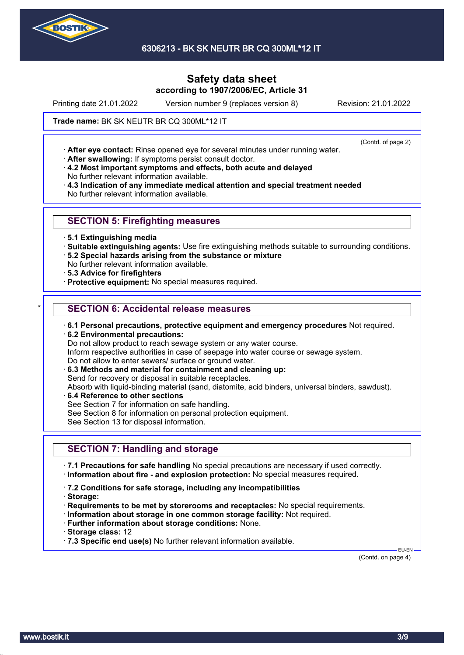

6306213 - BK SK NEUTR BR CQ 300ML\*12 IT

# **Safety data sheet according to 1907/2006/EC, Article 31**

Printing date 21.01.2022 Version number 9 (replaces version 8) Revision: 21.01.2022

(Contd. of page 2)

Trade name: BK SK NEUTR BR CQ 300ML\*12 IT

· **After eye contact:** Rinse opened eye for several minutes under running water.

· **After swallowing:** If symptoms persist consult doctor.

· **4.2 Most important symptoms and effects, both acute and delayed** No further relevant information available.

· **4.3 Indication of any immediate medical attention and special treatment needed** No further relevant information available.

### **SECTION 5: Firefighting measures**

- · **5.1 Extinguishing media**
- · **Suitable extinguishing agents:** Use fire extinguishing methods suitable to surrounding conditions.
- · **5.2 Special hazards arising from the substance or mixture**

No further relevant information available.

- · **5.3 Advice for firefighters**
- · **Protective equipment:** No special measures required.

### **SECTION 6: Accidental release measures**

- · **6.1 Personal precautions, protective equipment and emergency procedures** Not required.
- · **6.2 Environmental precautions:**

Do not allow product to reach sewage system or any water course.

Inform respective authorities in case of seepage into water course or sewage system.

Do not allow to enter sewers/ surface or ground water.

· **6.3 Methods and material for containment and cleaning up:**

Send for recovery or disposal in suitable receptacles.

Absorb with liquid-binding material (sand, diatomite, acid binders, universal binders, sawdust).

- · **6.4 Reference to other sections**
- See Section 7 for information on safe handling.
- See Section 8 for information on personal protection equipment.

See Section 13 for disposal information.

### **SECTION 7: Handling and storage**

· **7.1 Precautions for safe handling** No special precautions are necessary if used correctly. · **Information about fire - and explosion protection:** No special measures required.

- · **7.2 Conditions for safe storage, including any incompatibilities**
- · **Storage:**
- · **Requirements to be met by storerooms and receptacles:** No special requirements.
- · **Information about storage in one common storage facility:** Not required.
- · **Further information about storage conditions:** None.
- · **Storage class:** 12

· **7.3 Specific end use(s)** No further relevant information available.

(Contd. on page 4)

EU-EN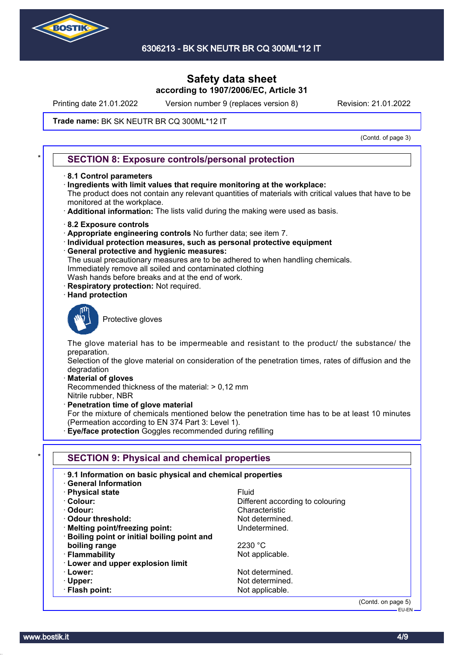

Printing date 21.01.2022 Version number 9 (replaces version 8) Revision: 21.01.2022

#### Trade name: BK SK NEUTR BR CQ 300ML\*12 IT

(Contd. of page 3)

### **SECTION 8: Exposure controls/personal protection**

- · **8.1 Control parameters**
- · **Ingredients with limit values that require monitoring at the workplace:**

The product does not contain any relevant quantities of materials with critical values that have to be monitored at the workplace.

- · **Additional information:** The lists valid during the making were used as basis.
- · **8.2 Exposure controls**
- · **Appropriate engineering controls** No further data; see item 7.
- · **Individual protection measures, such as personal protective equipment**
- · **General protective and hygienic measures:**
- The usual precautionary measures are to be adhered to when handling chemicals. Immediately remove all soiled and contaminated clothing
- Wash hands before breaks and at the end of work.
- **Respiratory protection: Not required.**
- · **Hand protection**



Protective gloves

The glove material has to be impermeable and resistant to the product/ the substance/ the preparation.

Selection of the glove material on consideration of the penetration times, rates of diffusion and the degradation

· **Material of gloves**

Recommended thickness of the material: > 0,12 mm Nitrile rubber, NBR

· **Penetration time of glove material**

For the mixture of chemicals mentioned below the penetration time has to be at least 10 minutes (Permeation according to EN 374 Part 3: Level 1).

· **Eye/face protection** Goggles recommended during refilling

| 9.1 Information on basic physical and chemical properties<br><b>General Information</b> |                                  |
|-----------------------------------------------------------------------------------------|----------------------------------|
| · Physical state                                                                        | <b>Fluid</b>                     |
| · Colour:                                                                               | Different according to colouring |
| · Odour:                                                                                | Characteristic                   |
| Odour threshold:                                                                        | Not determined.                  |
| · Melting point/freezing point:                                                         | Undetermined.                    |
| · Boiling point or initial boiling point and                                            |                                  |
| boiling range                                                                           | 2230 °C                          |
| · Flammability                                                                          | Not applicable.                  |
| · Lower and upper explosion limit                                                       |                                  |
| · Lower:                                                                                | Not determined.                  |
| $\cdot$ Upper:                                                                          | Not determined.                  |
| · Flash point:                                                                          | Not applicable.                  |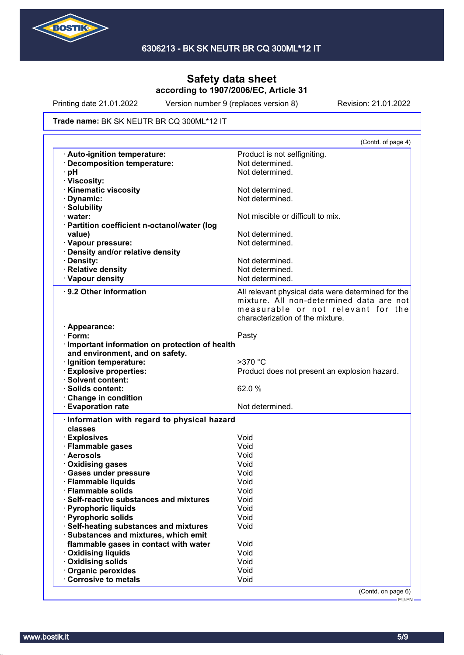

Printing date 21.01.2022 Version number 9 (replaces version 8) Revision: 21.01.2022

#### Trade name: BK SK NEUTR BR CQ 300ML\*12 IT

|                                                                                | (Contd. of page 4)                                 |
|--------------------------------------------------------------------------------|----------------------------------------------------|
| Auto-ignition temperature:                                                     | Product is not selfigniting.                       |
| · Decomposition temperature:                                                   | Not determined.                                    |
| pH                                                                             | Not determined.                                    |
| · Viscosity:                                                                   |                                                    |
| <b>Kinematic viscosity</b>                                                     | Not determined.                                    |
| Dynamic:                                                                       | Not determined.                                    |
| · Solubility                                                                   |                                                    |
| $\cdot$ water:                                                                 | Not miscible or difficult to mix.                  |
| · Partition coefficient n-octanol/water (log                                   |                                                    |
| value)                                                                         | Not determined.                                    |
| · Vapour pressure:                                                             | Not determined.                                    |
| · Density and/or relative density                                              |                                                    |
| · Density:                                                                     | Not determined.                                    |
| · Relative density                                                             | Not determined.                                    |
| · Vapour density                                                               | Not determined.                                    |
|                                                                                |                                                    |
| 9.2 Other information                                                          | All relevant physical data were determined for the |
|                                                                                | mixture. All non-determined data are not           |
|                                                                                | measurable or not relevant for the                 |
|                                                                                | characterization of the mixture.                   |
| · Appearance:                                                                  |                                                    |
| $\cdot$ Form:                                                                  | Pasty                                              |
| · Important information on protection of health                                |                                                    |
| and environment, and on safety.                                                |                                                    |
| Ignition temperature:                                                          | $>370$ °C                                          |
| <b>Explosive properties:</b>                                                   | Product does not present an explosion hazard.      |
| · Solvent content:                                                             |                                                    |
| · Solids content:                                                              | 62.0%                                              |
| Change in condition                                                            |                                                    |
| <b>Evaporation rate</b>                                                        | Not determined.                                    |
|                                                                                |                                                    |
|                                                                                |                                                    |
| · Information with regard to physical hazard<br>classes                        |                                                    |
|                                                                                | Void                                               |
| · Explosives<br>· Flammable gases                                              | Void                                               |
| · Aerosols                                                                     | Void                                               |
|                                                                                | Void                                               |
| · Oxidising gases<br>· Gases under pressure                                    | Void                                               |
|                                                                                | Void                                               |
| · Flammable liquids<br><b>Flammable solids</b>                                 | Void                                               |
| Self-reactive substances and mixtures                                          | Void                                               |
| · Pyrophoric liquids                                                           | Void                                               |
| · Pyrophoric solids                                                            | Void                                               |
|                                                                                | Void                                               |
| Self-heating substances and mixtures                                           |                                                    |
| · Substances and mixtures, which emit<br>flammable gases in contact with water | Void                                               |
|                                                                                | Void                                               |
| · Oxidising liquids                                                            | Void                                               |
| · Oxidising solids                                                             | Void                                               |
| · Organic peroxides<br>Corrosive to metals                                     | Void                                               |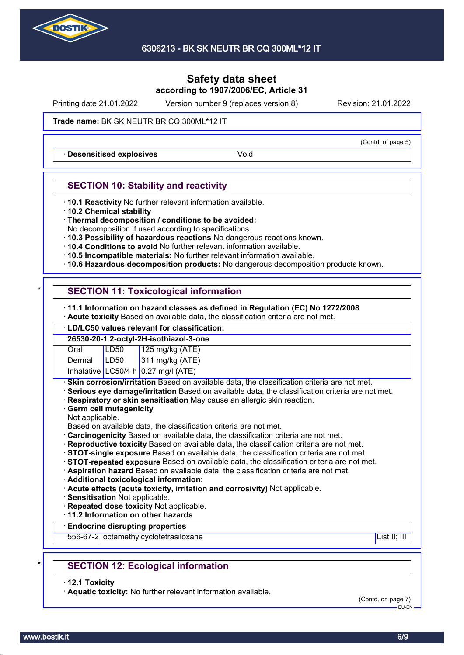

Printing date 21.01.2022 Version number 9 (replaces version 8) Revision: 21.01.2022

#### Trade name: BK SK NEUTR BR CQ 300ML\*12 IT

**Desensitised explosives Void** 

### **SECTION 10: Stability and reactivity**

- · **10.1 Reactivity** No further relevant information available.
- · **10.2 Chemical stability**
- · **Thermal decomposition / conditions to be avoided:**
- No decomposition if used according to specifications.
- · **10.3 Possibility of hazardous reactions** No dangerous reactions known.
- · **10.4 Conditions to avoid** No further relevant information available.
- · **10.5 Incompatible materials:** No further relevant information available.
- · **10.6 Hazardous decomposition products:** No dangerous decomposition products known.

# **SECTION 11: Toxicological information**

- · **11.1 Information on hazard classes as defined in Regulation (EC) No 1272/2008**
- · **Acute toxicity** Based on available data, the classification criteria are not met.

### · **LD/LC50 values relevant for classification:**

| 26530-20-1 2-octyl-2H-isothiazol-3-one |      |                                       |  |
|----------------------------------------|------|---------------------------------------|--|
| Oral                                   | LD50 |                                       |  |
| Dermal                                 | LD50 | 125 mg/kg (ATE)<br>311 mg/kg (ATE)    |  |
|                                        |      | Inhalative $LC50/4 h 0.27$ mg/l (ATE) |  |

**Skin corrosion/irritation** Based on available data, the classification criteria are not met.

- · **Serious eye damage/irritation** Based on available data, the classification criteria are not met.
- · **Respiratory or skin sensitisation** May cause an allergic skin reaction.
- · **Germ cell mutagenicity**
- Not applicable.

Based on available data, the classification criteria are not met.

- · **Carcinogenicity** Based on available data, the classification criteria are not met.
- · **Reproductive toxicity** Based on available data, the classification criteria are not met.
- · **STOT-single exposure** Based on available data, the classification criteria are not met.
- · **STOT-repeated exposure** Based on available data, the classification criteria are not met.

· **Aspiration hazard** Based on available data, the classification criteria are not met.

- · **Additional toxicological information:**
- · **Acute effects (acute toxicity, irritation and corrosivity)** Not applicable.
- · **Sensitisation** Not applicable.
- · **Repeated dose toxicity** Not applicable.

· **11.2 Information on other hazards**

### · **Endocrine disrupting properties**

556-67-2 octamethylcyclotetrasiloxane List II; III in the List II; III in the List II; III in the List II; III

# **SECTION 12: Ecological information**

· **12.1 Toxicity**

· **Aquatic toxicity:** No further relevant information available.

(Contd. on page 7) EU-EN

(Contd. of page 5)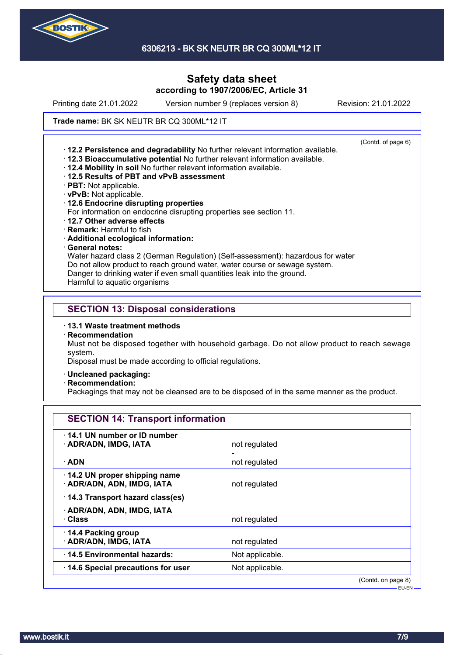

6306213 - BK SK NEUTR BR CQ 300ML\*12 IT

### **Safety data sheet according to 1907/2006/EC, Article 31**

Printing date 21.01.2022 Version number 9 (replaces version 8) Revision: 21.01.2022

#### Trade name: BK SK NEUTR BR CQ 300ML\*12 IT

(Contd. of page 6) · **12.2 Persistence and degradability** No further relevant information available. · **12.3 Bioaccumulative potential** No further relevant information available. · **12.4 Mobility in soil** No further relevant information available. · **12.5 Results of PBT and vPvB assessment** · **PBT:** Not applicable. · **vPvB:** Not applicable. · **12.6 Endocrine disrupting properties** For information on endocrine disrupting properties see section 11. · **12.7 Other adverse effects** · **Remark:** Harmful to fish · **Additional ecological information:** · **General notes:** Water hazard class 2 (German Regulation) (Self-assessment): hazardous for water Do not allow product to reach ground water, water course or sewage system. Danger to drinking water if even small quantities leak into the ground.

Harmful to aquatic organisms

#### **SECTION 13: Disposal considerations**

- · **13.1 Waste treatment methods**
- · **Recommendation**

Must not be disposed together with household garbage. Do not allow product to reach sewage system.

Disposal must be made according to official regulations.

- · **Uncleaned packaging:**
- · **Recommendation:**

Packagings that may not be cleansed are to be disposed of in the same manner as the product.

| <b>SECTION 14: Transport information</b>                   |                 |                    |
|------------------------------------------------------------|-----------------|--------------------|
| 14.1 UN number or ID number<br>· ADR/ADN, IMDG, IATA       | not regulated   |                    |
| $\cdot$ ADN                                                | not regulated   |                    |
| 14.2 UN proper shipping name<br>· ADR/ADN, ADN, IMDG, IATA | not regulated   |                    |
| 14.3 Transport hazard class(es)                            |                 |                    |
| · ADR/ADN, ADN, IMDG, IATA<br>· Class                      | not regulated   |                    |
| 14.4 Packing group<br>· ADR/ADN, IMDG, IATA                | not regulated   |                    |
| 14.5 Environmental hazards:                                | Not applicable. |                    |
| 14.6 Special precautions for user                          | Not applicable. |                    |
|                                                            |                 | (Contd. on page 8) |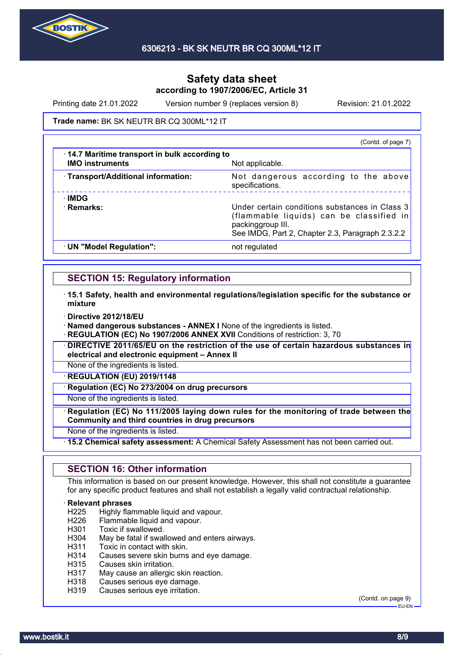

Printing date 21.01.2022 Version number 9 (replaces version 8) Revision: 21.01.2022

#### Trade name: BK SK NEUTR BR CQ 300ML\*12 IT

|                                                                        | (Contd. of page 7)                                                                                                                                                  |
|------------------------------------------------------------------------|---------------------------------------------------------------------------------------------------------------------------------------------------------------------|
| 14.7 Maritime transport in bulk according to<br><b>IMO instruments</b> | Not applicable.                                                                                                                                                     |
| · Transport/Additional information:                                    | Not dangerous according to the above<br>specifications.                                                                                                             |
| ∴IMDG<br>· Remarks:                                                    | Under certain conditions substances in Class 3<br>(flammable liquids) can be classified in<br>packinggroup III.<br>See IMDG, Part 2, Chapter 2.3, Paragraph 2.3.2.2 |
| · UN "Model Regulation":                                               | not regulated                                                                                                                                                       |

### **SECTION 15: Regulatory information**

- · **15.1 Safety, health and environmental regulations/legislation specific for the substance or mixture**
- · **Directive 2012/18/EU**

· **Named dangerous substances - ANNEX I** None of the ingredients is listed.

**REGULATION (EC) No 1907/2006 ANNEX XVII** Conditions of restriction: 3, 70

· **DIRECTIVE 2011/65/EU on the restriction of the use of certain hazardous substances in electrical and electronic equipment – Annex II**

None of the ingredients is listed.

· **REGULATION (EU) 2019/1148**

**Regulation (EC) No 273/2004 on drug precursors** 

None of the ingredients is listed.

· **Regulation (EC) No 111/2005 laying down rules for the monitoring of trade between the Community and third countries in drug precursors**

None of the ingredients is listed.

· **15.2 Chemical safety assessment:** A Chemical Safety Assessment has not been carried out.

### **SECTION 16: Other information**

This information is based on our present knowledge. However, this shall not constitute a guarantee for any specific product features and shall not establish a legally valid contractual relationship.

# **Relevant phrases**<br>H225 Highly flar

Highly flammable liquid and vapour.

- H226 Flammable liquid and vapour.
- H301 Toxic if swallowed.
- H304 May be fatal if swallowed and enters airways.
- H311 Toxic in contact with skin.
- H314 Causes severe skin burns and eye damage.
- H315 Causes skin irritation.
- H317 May cause an allergic skin reaction.
- H318 Causes serious eye damage.
- H319 Causes serious eye irritation.

(Contd. on page 9) EU-EN